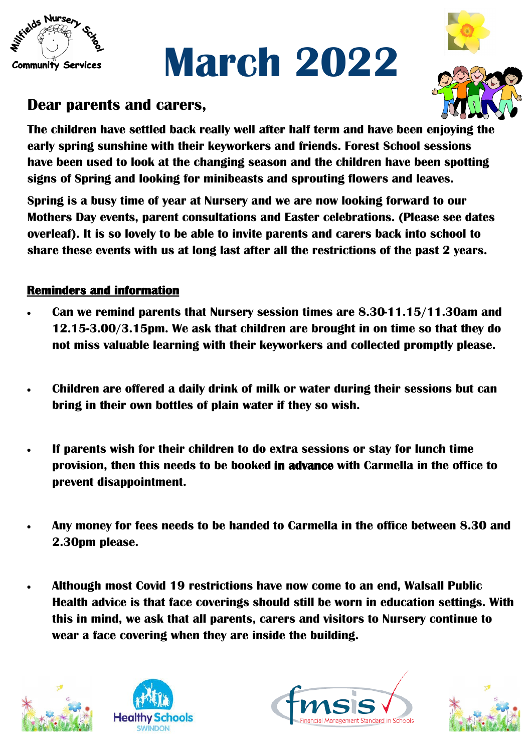

# **March 2022**



## **Dear parents and carers,**

**The children have settled back really well after half term and have been enjoying the early spring sunshine with their keyworkers and friends. Forest School sessions have been used to look at the changing season and the children have been spotting signs of Spring and looking for minibeasts and sprouting flowers and leaves.** 

**Spring is a busy time of year at Nursery and we are now looking forward to our Mothers Day events, parent consultations and Easter celebrations. (Please see dates overleaf). It is so lovely to be able to invite parents and carers back into school to share these events with us at long last after all the restrictions of the past 2 years.** 

### **Reminders and information**

- **Can we remind parents that Nursery session times are 8.30-11.15/11.30am and 12.15-3.00/3.15pm. We ask that children are brought in on time so that they do not miss valuable learning with their keyworkers and collected promptly please.**
- **Children are offered a daily drink of milk or water during their sessions but can bring in their own bottles of plain water if they so wish.**
- **If parents wish for their children to do extra sessions or stay for lunch time provision, then this needs to be booked in advance with Carmella in the office to prevent disappointment.**
- **Any money for fees needs to be handed to Carmella in the office between 8.30 and 2.30pm please.**
- **Although most Covid 19 restrictions have now come to an end, Walsall Public Health advice is that face coverings should still be worn in education settings. With this in mind, we ask that all parents, carers and visitors to Nursery continue to wear a face covering when they are inside the building.**